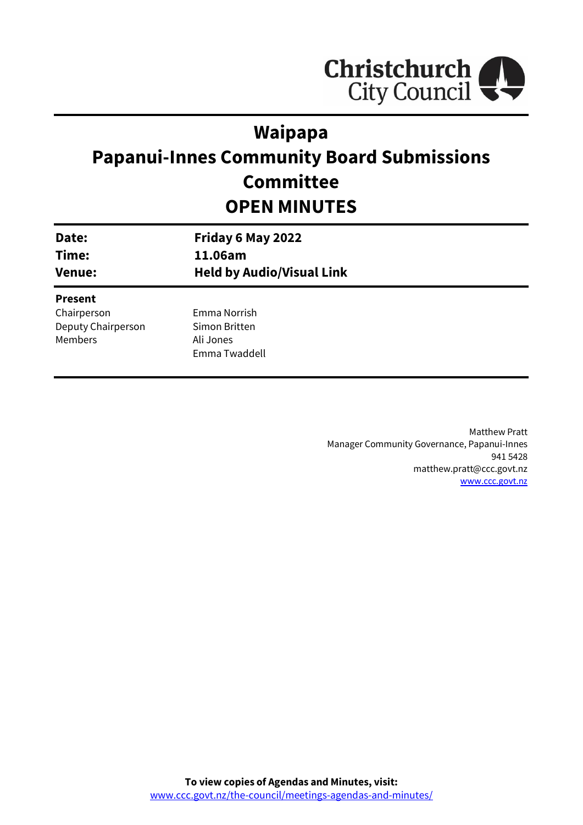

# **Waipapa**

# **Papanui-Innes Community Board Submissions Committee OPEN MINUTES**

| Date:<br>Time:<br><b>Venue:</b> | Friday 6 May 2022<br>11.06am<br><b>Held by Audio/Visual Link</b> |  |
|---------------------------------|------------------------------------------------------------------|--|
| <b>Present</b>                  |                                                                  |  |
| Chairperson                     | Emma Norrish                                                     |  |
| Deputy Chairperson              | Simon Britten                                                    |  |

Ali Jones Emma Twaddell

Members

Matthew Pratt Manager Community Governance, Papanui-Innes 941 5428 matthew.pratt@ccc.govt.nz [www.ccc.govt.nz](http://www.ccc.govt.nz/)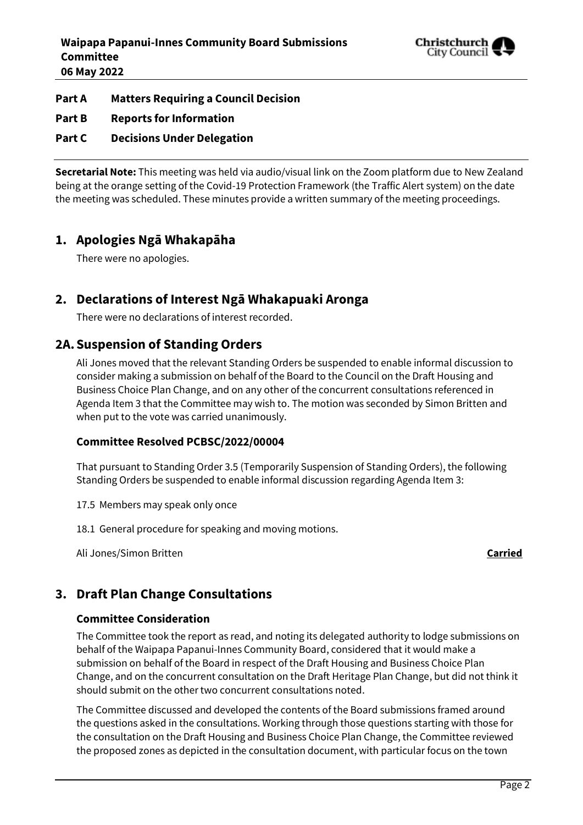

#### **Part A Matters Requiring a Council Decision**

**Part B Reports for Information**

**Part C Decisions Under Delegation**

**Secretarial Note:** This meeting was held via audio/visual link on the Zoom platform due to New Zealand being at the orange setting of the Covid-19 Protection Framework (the Traffic Alert system) on the date the meeting was scheduled. These minutes provide a written summary of the meeting proceedings.

# **1. Apologies Ngā Whakapāha**

There were no apologies.

# **2. Declarations of Interest Ngā Whakapuaki Aronga**

There were no declarations of interest recorded.

# **2A.Suspension of Standing Orders**

Ali Jones moved that the relevant Standing Orders be suspended to enable informal discussion to consider making a submission on behalf of the Board to the Council on the Draft Housing and Business Choice Plan Change, and on any other of the concurrent consultations referenced in Agenda Item 3 that the Committee may wish to. The motion was seconded by Simon Britten and when put to the vote was carried unanimously.

#### **Committee Resolved PCBSC/2022/00004**

That pursuant to Standing Order 3.5 (Temporarily Suspension of Standing Orders), the following Standing Orders be suspended to enable informal discussion regarding Agenda Item 3:

- 17.5 Members may speak only once
- 18.1 General procedure for speaking and moving motions.

Ali Jones/Simon Britten **Carried**

# **3. Draft Plan Change Consultations**

### **Committee Consideration**

The Committee took the report as read, and noting its delegated authority to lodge submissions on behalf of the Waipapa Papanui-Innes Community Board, considered that it would make a submission on behalf of the Board in respect of the Draft Housing and Business Choice Plan Change, and on the concurrent consultation on the Draft Heritage Plan Change, but did not think it should submit on the other two concurrent consultations noted.

The Committee discussed and developed the contents of the Board submissions framed around the questions asked in the consultations. Working through those questions starting with those for the consultation on the Draft Housing and Business Choice Plan Change, the Committee reviewed the proposed zones as depicted in the consultation document, with particular focus on the town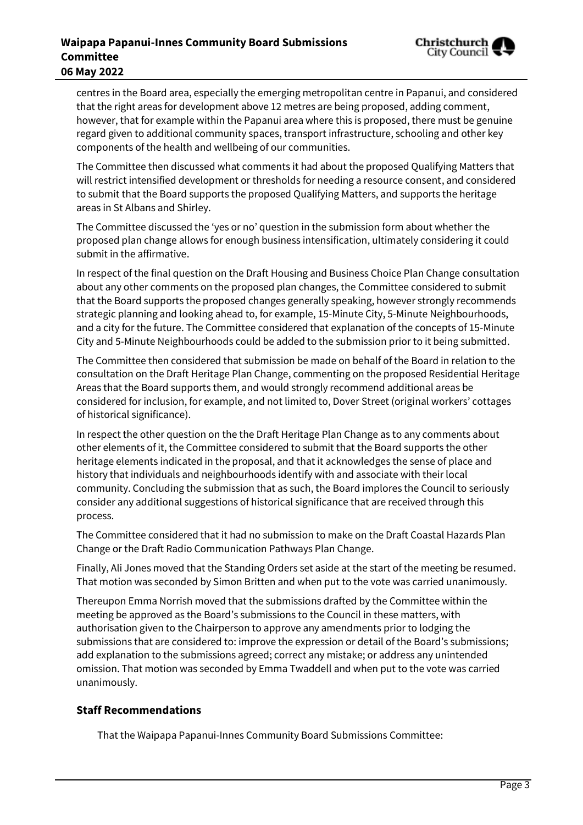## **Waipapa Papanui-Innes Community Board Submissions Committee 06 May 2022**



centres in the Board area, especially the emerging metropolitan centre in Papanui, and considered that the right areas for development above 12 metres are being proposed, adding comment, however, that for example within the Papanui area where this is proposed, there must be genuine regard given to additional community spaces, transport infrastructure, schooling and other key components of the health and wellbeing of our communities.

The Committee then discussed what comments it had about the proposed Qualifying Matters that will restrict intensified development or thresholds for needing a resource consent, and considered to submit that the Board supports the proposed Qualifying Matters, and supports the heritage areas in St Albans and Shirley.

The Committee discussed the 'yes or no' question in the submission form about whether the proposed plan change allows for enough business intensification, ultimately considering it could submit in the affirmative.

In respect of the final question on the Draft Housing and Business Choice Plan Change consultation about any other comments on the proposed plan changes, the Committee considered to submit that the Board supports the proposed changes generally speaking, however strongly recommends strategic planning and looking ahead to, for example, 15-Minute City, 5-Minute Neighbourhoods, and a city for the future. The Committee considered that explanation of the concepts of 15-Minute City and 5-Minute Neighbourhoods could be added to the submission prior to it being submitted.

The Committee then considered that submission be made on behalf of the Board in relation to the consultation on the Draft Heritage Plan Change, commenting on the proposed Residential Heritage Areas that the Board supports them, and would strongly recommend additional areas be considered for inclusion, for example, and not limited to, Dover Street (original workers' cottages of historical significance).

In respect the other question on the the Draft Heritage Plan Change as to any comments about other elements of it, the Committee considered to submit that the Board supports the other heritage elements indicated in the proposal, and that it acknowledges the sense of place and history that individuals and neighbourhoods identify with and associate with their local community. Concluding the submission that as such, the Board implores the Council to seriously consider any additional suggestions of historical significance that are received through this process.

The Committee considered that it had no submission to make on the Draft Coastal Hazards Plan Change or the Draft Radio Communication Pathways Plan Change.

Finally, Ali Jones moved that the Standing Orders set aside at the start of the meeting be resumed. That motion was seconded by Simon Britten and when put to the vote was carried unanimously.

Thereupon Emma Norrish moved that the submissions drafted by the Committee within the meeting be approved as the Board's submissions to the Council in these matters, with authorisation given to the Chairperson to approve any amendments prior to lodging the submissions that are considered to: improve the expression or detail of the Board's submissions; add explanation to the submissions agreed; correct any mistake; or address any unintended omission. That motion was seconded by Emma Twaddell and when put to the vote was carried unanimously.

### **Staff Recommendations**

That the Waipapa Papanui-Innes Community Board Submissions Committee: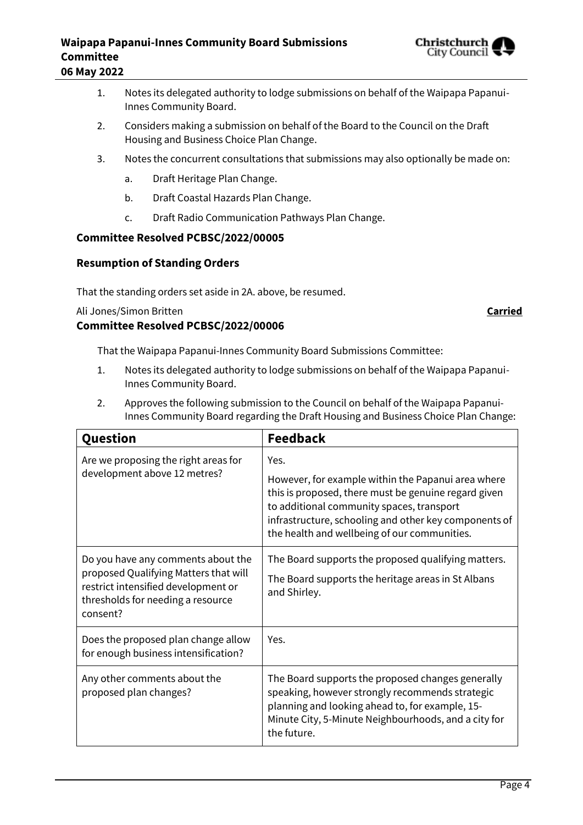## **Waipapa Papanui-Innes Community Board Submissions Committee 06 May 2022**



- 1. Notes its delegated authority to lodge submissions on behalf of the Waipapa Papanui-Innes Community Board.
- 2. Considers making a submission on behalf of the Board to the Council on the Draft Housing and Business Choice Plan Change.
- 3. Notes the concurrent consultations that submissions may also optionally be made on:
	- a. Draft Heritage Plan Change.
	- b. Draft Coastal Hazards Plan Change.
	- c. Draft Radio Communication Pathways Plan Change.

#### **Committee Resolved PCBSC/2022/00005**

#### **Resumption of Standing Orders**

That the standing orders set aside in 2A. above, be resumed.

#### Ali Jones/Simon Britten **Carried**

#### **Committee Resolved PCBSC/2022/00006**

That the Waipapa Papanui-Innes Community Board Submissions Committee:

- 1. Notes its delegated authority to lodge submissions on behalf of the Waipapa Papanui-Innes Community Board.
- 2. Approves the following submission to the Council on behalf of the Waipapa Papanui-Innes Community Board regarding the Draft Housing and Business Choice Plan Change:

| Question                                                                                                                                                            | <b>Feedback</b>                                                                                                                                                                                                                                                          |
|---------------------------------------------------------------------------------------------------------------------------------------------------------------------|--------------------------------------------------------------------------------------------------------------------------------------------------------------------------------------------------------------------------------------------------------------------------|
| Are we proposing the right areas for<br>development above 12 metres?                                                                                                | Yes.<br>However, for example within the Papanui area where<br>this is proposed, there must be genuine regard given<br>to additional community spaces, transport<br>infrastructure, schooling and other key components of<br>the health and wellbeing of our communities. |
| Do you have any comments about the<br>proposed Qualifying Matters that will<br>restrict intensified development or<br>thresholds for needing a resource<br>consent? | The Board supports the proposed qualifying matters.<br>The Board supports the heritage areas in St Albans<br>and Shirley.                                                                                                                                                |
| Does the proposed plan change allow<br>for enough business intensification?                                                                                         | Yes.                                                                                                                                                                                                                                                                     |
| Any other comments about the<br>proposed plan changes?                                                                                                              | The Board supports the proposed changes generally<br>speaking, however strongly recommends strategic<br>planning and looking ahead to, for example, 15-<br>Minute City, 5-Minute Neighbourhoods, and a city for<br>the future.                                           |